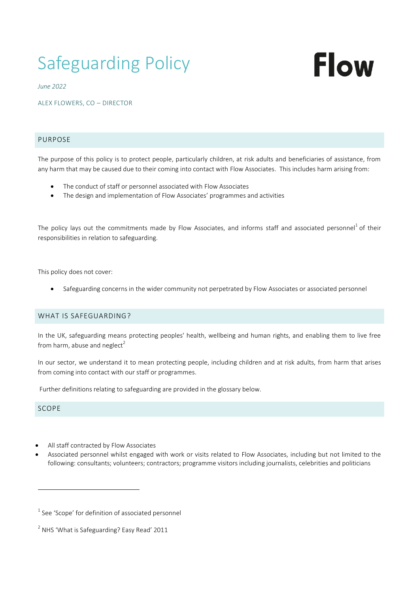# Safeguarding Policy

# Flow

*June 2022*

ALEX FLOWERS, CO – DIRECTOR

# PURPOSE

The purpose of this policy is to protect people, particularly children, at risk adults and beneficiaries of assistance, from any harm that may be caused due to their coming into contact with Flow Associates. This includes harm arising from:

- The conduct of staff or personnel associated with Flow Associates
- The design and implementation of Flow Associates' programmes and activities

The policy lays out the commitments made by Flow Associates, and informs staff and associated personnel<sup>1</sup> of their responsibilities in relation to safeguarding.

This policy does not cover:

Safeguarding concerns in the wider community not perpetrated by Flow Associates or associated personnel

# WHAT IS SAFEGUARDING?

In the UK, safeguarding means protecting peoples' health, wellbeing and human rights, and enabling them to live free from harm, abuse and neglect<sup>2</sup>

In our sector, we understand it to mean protecting people, including children and at risk adults, from harm that arises from coming into contact with our staff or programmes.

Further definitions relating to safeguarding are provided in the glossary below.

# SCOPE

 $\overline{a}$ 

- All staff contracted by Flow Associates
- Associated personnel whilst engaged with work or visits related to Flow Associates, including but not limited to the following: consultants; volunteers; contractors; programme visitors including journalists, celebrities and politicians

 $1$  See 'Scope' for definition of associated personnel

 $^{2}$  NHS 'What is Safeguarding? Easy Read' 2011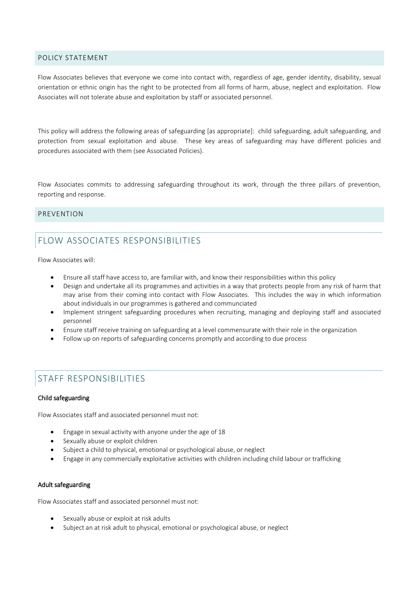# POLICY STATEMENT

Flow Associates believes that everyone we come into contact with, regardless of age, gender identity, disability, sexual orientation or ethnic origin has the right to be protected from all forms of harm, abuse, neglect and exploitation. Flow Associates will not tolerate abuse and exploitation by staff or associated personnel.

This policy will address the following areas of safeguarding [as appropriate]: child safeguarding, adult safeguarding, and protection from sexual exploitation and abuse. These key areas of safeguarding may have different policies and procedures associated with them (see Associated Policies).

Flow Associates commits to addressing safeguarding throughout its work, through the three pillars of prevention, reporting and response.

# PREVENTION

# FLOW ASSOCIATES RESPONSIBILITIES

Flow Associates will:

- Ensure all staff have access to, are familiar with, and know their responsibilities within this policy
- Design and undertake all its programmes and activities in a way that protects people from any risk of harm that may arise from their coming into contact with Flow Associates. This includes the way in which information about individuals in our programmes is gathered and communciated
- Implement stringent safeguarding procedures when recruiting, managing and deploying staff and associated personnel
- Ensure staff receive training on safeguarding at a level commensurate with their role in the organization
- Follow up on reports of safeguarding concerns promptly and according to due process

# STAFF RESPONSIBILITIES

# Child safeguarding

Flow Associates staff and associated personnel must not:

- Engage in sexual activity with anyone under the age of 18
- Sexually abuse or exploit children
- Subject a child to physical, emotional or psychological abuse, or neglect
- Engage in any commercially exploitative activities with children including child labour or trafficking

# Adult safeguarding

Flow Associates staff and associated personnel must not:

- Sexually abuse or exploit at risk adults
- Subject an at risk adult to physical, emotional or psychological abuse, or neglect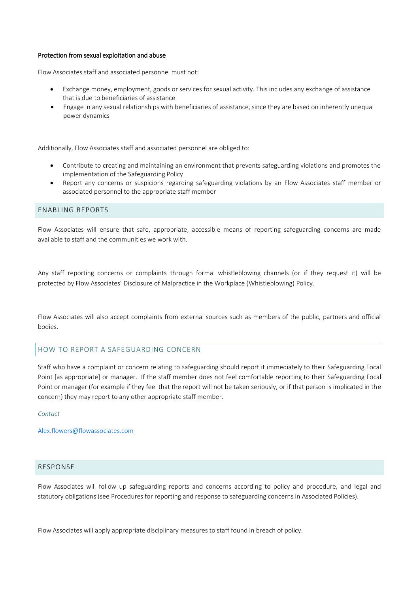#### Protection from sexual exploitation and abuse

Flow Associates staff and associated personnel must not:

- Exchange money, employment, goods or services for sexual activity. This includes any exchange of assistance that is due to beneficiaries of assistance
- Engage in any sexual relationships with beneficiaries of assistance, since they are based on inherently unequal power dynamics

Additionally, Flow Associates staff and associated personnel are obliged to:

- Contribute to creating and maintaining an environment that prevents safeguarding violations and promotes the implementation of the Safeguarding Policy
- Report any concerns or suspicions regarding safeguarding violations by an Flow Associates staff member or associated personnel to the appropriate staff member

# ENABLING REPORTS

Flow Associates will ensure that safe, appropriate, accessible means of reporting safeguarding concerns are made available to staff and the communities we work with.

Any staff reporting concerns or complaints through formal whistleblowing channels (or if they request it) will be protected by Flow Associates' Disclosure of Malpractice in the Workplace (Whistleblowing) Policy.

Flow Associates will also accept complaints from external sources such as members of the public, partners and official bodies.

# HOW TO REPORT A SAFEGUARDING CONCERN

Staff who have a complaint or concern relating to safeguarding should report it immediately to their Safeguarding Focal Point [as appropriate] or manager. If the staff member does not feel comfortable reporting to their Safeguarding Focal Point or manager (for example if they feel that the report will not be taken seriously, or if that person is implicated in the concern) they may report to any other appropriate staff member.

*Contact*

[Alex.flowers@flowassociates.com](mailto:Alex.flowers@flowassociates.com)

# RESPONSE

Flow Associates will follow up safeguarding reports and concerns according to policy and procedure, and legal and statutory obligations (see Procedures for reporting and response to safeguarding concerns in Associated Policies).

Flow Associates will apply appropriate disciplinary measures to staff found in breach of policy.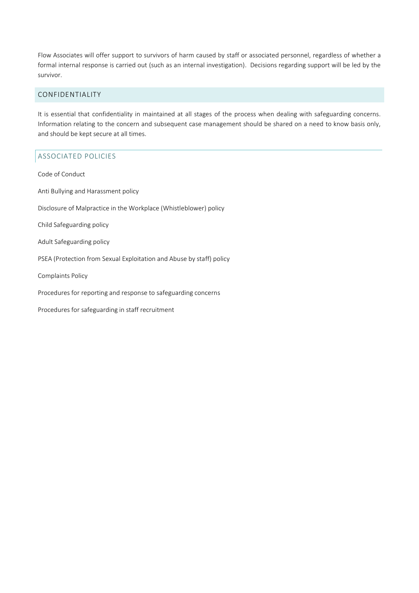Flow Associates will offer support to survivors of harm caused by staff or associated personnel, regardless of whether a formal internal response is carried out (such as an internal investigation). Decisions regarding support will be led by the survivor.

# CONFIDENTIALITY

It is essential that confidentiality in maintained at all stages of the process when dealing with safeguarding concerns. Information relating to the concern and subsequent case management should be shared on a need to know basis only, and should be kept secure at all times.

# ASSOCIATED POLICIES

Code of Conduct Anti Bullying and Harassment policy Disclosure of Malpractice in the Workplace (Whistleblower) policy Child Safeguarding policy Adult Safeguarding policy PSEA (Protection from Sexual Exploitation and Abuse by staff) policy Complaints Policy Procedures for reporting and response to safeguarding concerns Procedures for safeguarding in staff recruitment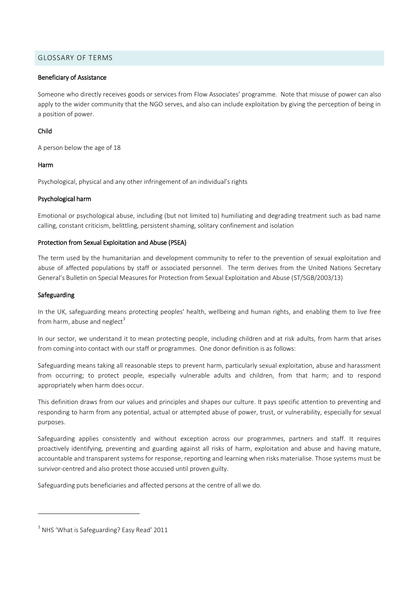# GLOSSARY OF TERMS

#### Beneficiary of Assistance

Someone who directly receives goods or services from Flow Associates' programme. Note that misuse of power can also apply to the wider community that the NGO serves, and also can include exploitation by giving the perception of being in a position of power.

# Child

A person below the age of 18

# Harm

Psychological, physical and any other infringement of an individual's rights

# Psychological harm

Emotional or psychological abuse, including (but not limited to) humiliating and degrading treatment such as bad name calling, constant criticism, belittling, persistent shaming, solitary confinement and isolation

# Protection from Sexual Exploitation and Abuse (PSEA)

The term used by the humanitarian and development community to refer to the prevention of sexual exploitation and abuse of affected populations by staff or associated personnel. The term derives from the United Nations Secretary General's Bulletin on Special Measures for Protection from Sexual Exploitation and Abuse (ST/SGB/2003/13)

# Safeguarding

 $\overline{a}$ 

In the UK, safeguarding means protecting peoples' health, wellbeing and human rights, and enabling them to live free from harm, abuse and neglect<sup>3</sup>

In our sector, we understand it to mean protecting people, including children and at risk adults, from harm that arises from coming into contact with our staff or programmes. One donor definition is as follows:

Safeguarding means taking all reasonable steps to prevent harm, particularly sexual exploitation, abuse and harassment from occurring; to protect people, especially vulnerable adults and children, from that harm; and to respond appropriately when harm does occur.

This definition draws from our values and principles and shapes our culture. It pays specific attention to preventing and responding to harm from any potential, actual or attempted abuse of power, trust, or vulnerability, especially for sexual purposes.

Safeguarding applies consistently and without exception across our programmes, partners and staff. It requires proactively identifying, preventing and guarding against all risks of harm, exploitation and abuse and having mature, accountable and transparent systems for response, reporting and learning when risks materialise. Those systems must be survivor-centred and also protect those accused until proven guilty.

Safeguarding puts beneficiaries and affected persons at the centre of all we do.

<sup>&</sup>lt;sup>3</sup> NHS 'What is Safeguarding? Easy Read' 2011